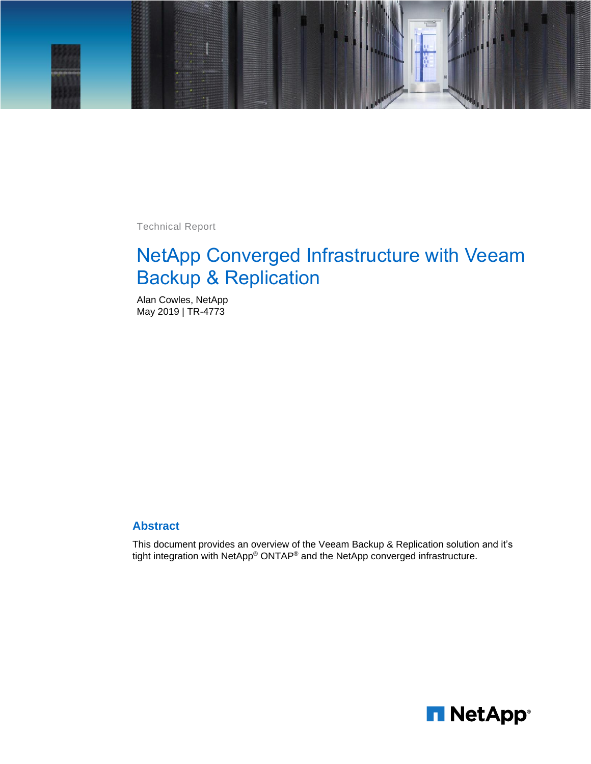

Technical Report

# NetApp Converged Infrastructure with Veeam Backup & Replication

Alan Cowles, NetApp May 2019 | TR-4773

#### **Abstract**

This document provides an overview of the Veeam Backup & Replication solution and it's tight integration with NetApp® ONTAP® and the NetApp converged infrastructure.

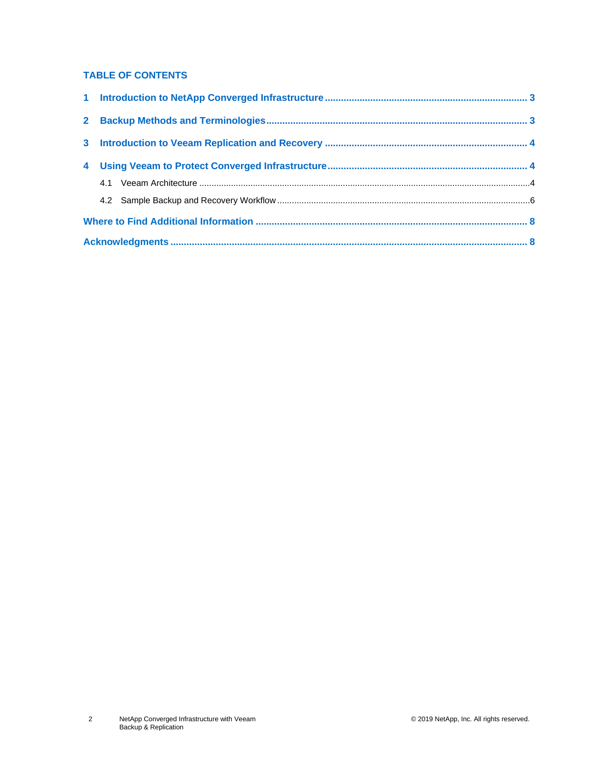#### **TABLE OF CONTENTS**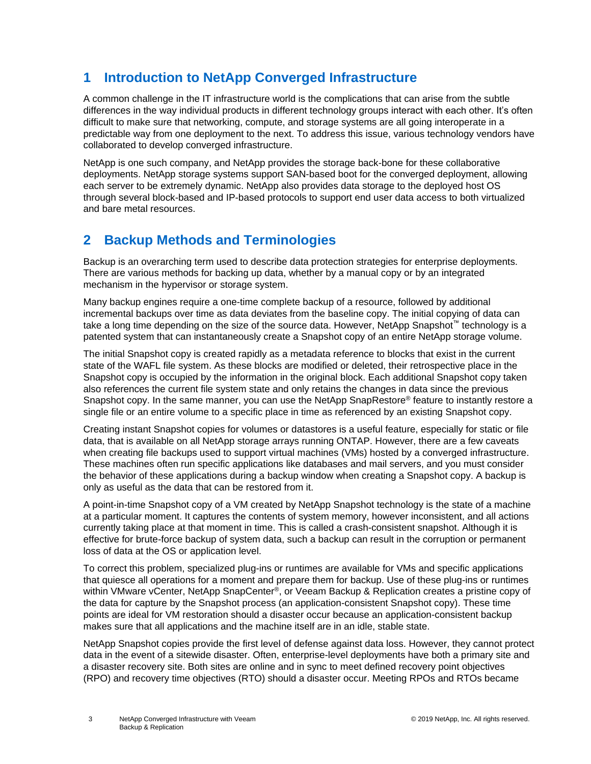### <span id="page-2-0"></span>**1 Introduction to NetApp Converged Infrastructure**

A common challenge in the IT infrastructure world is the complications that can arise from the subtle differences in the way individual products in different technology groups interact with each other. It's often difficult to make sure that networking, compute, and storage systems are all going interoperate in a predictable way from one deployment to the next. To address this issue, various technology vendors have collaborated to develop converged infrastructure.

NetApp is one such company, and NetApp provides the storage back-bone for these collaborative deployments. NetApp storage systems support SAN-based boot for the converged deployment, allowing each server to be extremely dynamic. NetApp also provides data storage to the deployed host OS through several block-based and IP-based protocols to support end user data access to both virtualized and bare metal resources.

# <span id="page-2-1"></span>**2 Backup Methods and Terminologies**

Backup is an overarching term used to describe data protection strategies for enterprise deployments. There are various methods for backing up data, whether by a manual copy or by an integrated mechanism in the hypervisor or storage system.

Many backup engines require a one-time complete backup of a resource, followed by additional incremental backups over time as data deviates from the baseline copy. The initial copying of data can take a long time depending on the size of the source data. However, NetApp Snapshot™ technology is a patented system that can instantaneously create a Snapshot copy of an entire NetApp storage volume.

The initial Snapshot copy is created rapidly as a metadata reference to blocks that exist in the current state of the WAFL file system. As these blocks are modified or deleted, their retrospective place in the Snapshot copy is occupied by the information in the original block. Each additional Snapshot copy taken also references the current file system state and only retains the changes in data since the previous Snapshot copy. In the same manner, you can use the NetApp SnapRestore® feature to instantly restore a single file or an entire volume to a specific place in time as referenced by an existing Snapshot copy.

Creating instant Snapshot copies for volumes or datastores is a useful feature, especially for static or file data, that is available on all NetApp storage arrays running ONTAP. However, there are a few caveats when creating file backups used to support virtual machines (VMs) hosted by a converged infrastructure. These machines often run specific applications like databases and mail servers, and you must consider the behavior of these applications during a backup window when creating a Snapshot copy. A backup is only as useful as the data that can be restored from it.

A point-in-time Snapshot copy of a VM created by NetApp Snapshot technology is the state of a machine at a particular moment. It captures the contents of system memory, however inconsistent, and all actions currently taking place at that moment in time. This is called a crash-consistent snapshot. Although it is effective for brute-force backup of system data, such a backup can result in the corruption or permanent loss of data at the OS or application level.

To correct this problem, specialized plug-ins or runtimes are available for VMs and specific applications that quiesce all operations for a moment and prepare them for backup. Use of these plug-ins or runtimes within VMware vCenter, NetApp SnapCenter®, or Veeam Backup & Replication creates a pristine copy of the data for capture by the Snapshot process (an application-consistent Snapshot copy). These time points are ideal for VM restoration should a disaster occur because an application-consistent backup makes sure that all applications and the machine itself are in an idle, stable state.

NetApp Snapshot copies provide the first level of defense against data loss. However, they cannot protect data in the event of a sitewide disaster. Often, enterprise-level deployments have both a primary site and a disaster recovery site. Both sites are online and in sync to meet defined recovery point objectives (RPO) and recovery time objectives (RTO) should a disaster occur. Meeting RPOs and RTOs became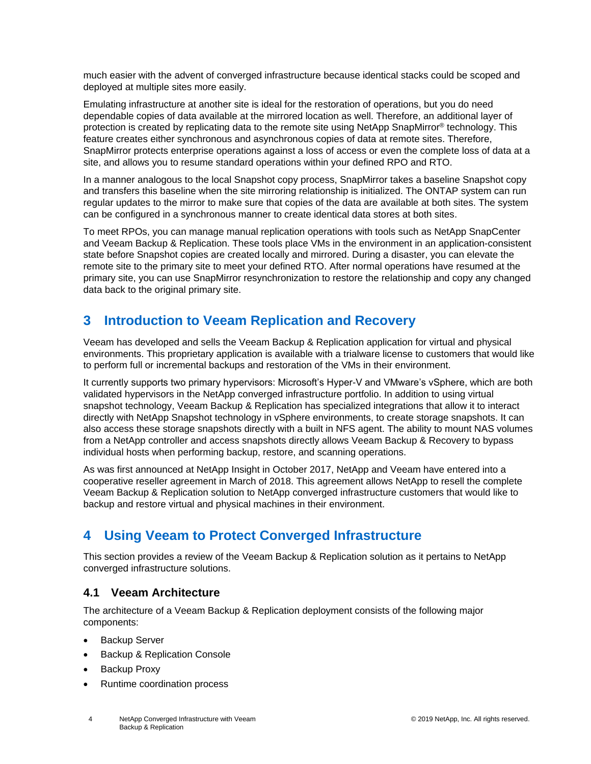much easier with the advent of converged infrastructure because identical stacks could be scoped and deployed at multiple sites more easily.

Emulating infrastructure at another site is ideal for the restoration of operations, but you do need dependable copies of data available at the mirrored location as well. Therefore, an additional layer of protection is created by replicating data to the remote site using NetApp SnapMirror® technology. This feature creates either synchronous and asynchronous copies of data at remote sites. Therefore, SnapMirror protects enterprise operations against a loss of access or even the complete loss of data at a site, and allows you to resume standard operations within your defined RPO and RTO.

In a manner analogous to the local Snapshot copy process, SnapMirror takes a baseline Snapshot copy and transfers this baseline when the site mirroring relationship is initialized. The ONTAP system can run regular updates to the mirror to make sure that copies of the data are available at both sites. The system can be configured in a synchronous manner to create identical data stores at both sites.

To meet RPOs, you can manage manual replication operations with tools such as NetApp SnapCenter and Veeam Backup & Replication. These tools place VMs in the environment in an application-consistent state before Snapshot copies are created locally and mirrored. During a disaster, you can elevate the remote site to the primary site to meet your defined RTO. After normal operations have resumed at the primary site, you can use SnapMirror resynchronization to restore the relationship and copy any changed data back to the original primary site.

### <span id="page-3-0"></span>**3 Introduction to Veeam Replication and Recovery**

Veeam has developed and sells the Veeam Backup & Replication application for virtual and physical environments. This proprietary application is available with a trialware license to customers that would like to perform full or incremental backups and restoration of the VMs in their environment.

It currently supports two primary hypervisors: Microsoft's Hyper-V and VMware's vSphere, which are both validated hypervisors in the NetApp converged infrastructure portfolio. In addition to using virtual snapshot technology, Veeam Backup & Replication has specialized integrations that allow it to interact directly with NetApp Snapshot technology in vSphere environments, to create storage snapshots. It can also access these storage snapshots directly with a built in NFS agent. The ability to mount NAS volumes from a NetApp controller and access snapshots directly allows Veeam Backup & Recovery to bypass individual hosts when performing backup, restore, and scanning operations.

As was first announced at NetApp Insight in October 2017, NetApp and Veeam have entered into a cooperative reseller agreement in March of 2018. This agreement allows NetApp to resell the complete Veeam Backup & Replication solution to NetApp converged infrastructure customers that would like to backup and restore virtual and physical machines in their environment.

# <span id="page-3-1"></span>**4 Using Veeam to Protect Converged Infrastructure**

This section provides a review of the Veeam Backup & Replication solution as it pertains to NetApp converged infrastructure solutions.

### <span id="page-3-2"></span>**4.1 Veeam Architecture**

The architecture of a Veeam Backup & Replication deployment consists of the following major components:

- Backup Server
- Backup & Replication Console
- Backup Proxy
- Runtime coordination process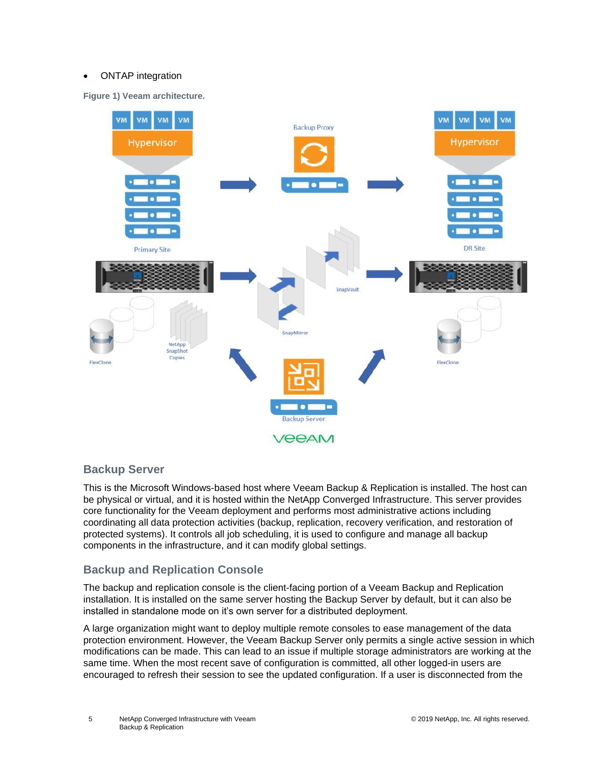#### • ONTAP integration

**Figure 1) Veeam architecture.**



#### **Backup Server**

This is the Microsoft Windows-based host where Veeam Backup & Replication is installed. The host can be physical or virtual, and it is hosted within the NetApp Converged Infrastructure. This server provides core functionality for the Veeam deployment and performs most administrative actions including coordinating all data protection activities (backup, replication, recovery verification, and restoration of protected systems). It controls all job scheduling, it is used to configure and manage all backup components in the infrastructure, and it can modify global settings.

#### **Backup and Replication Console**

The backup and replication console is the client-facing portion of a Veeam Backup and Replication installation. It is installed on the same server hosting the Backup Server by default, but it can also be installed in standalone mode on it's own server for a distributed deployment.

A large organization might want to deploy multiple remote consoles to ease management of the data protection environment. However, the Veeam Backup Server only permits a single active session in which modifications can be made. This can lead to an issue if multiple storage administrators are working at the same time. When the most recent save of configuration is committed, all other logged-in users are encouraged to refresh their session to see the updated configuration. If a user is disconnected from the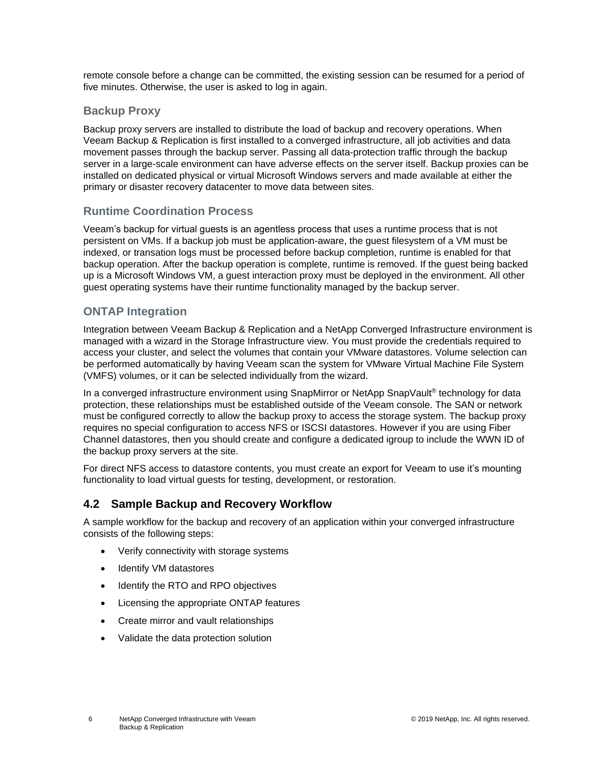remote console before a change can be committed, the existing session can be resumed for a period of five minutes. Otherwise, the user is asked to log in again.

#### **Backup Proxy**

Backup proxy servers are installed to distribute the load of backup and recovery operations. When Veeam Backup & Replication is first installed to a converged infrastructure, all job activities and data movement passes through the backup server. Passing all data-protection traffic through the backup server in a large-scale environment can have adverse effects on the server itself. Backup proxies can be installed on dedicated physical or virtual Microsoft Windows servers and made available at either the primary or disaster recovery datacenter to move data between sites.

#### **Runtime Coordination Process**

Veeam's backup for virtual guests is an agentless process that uses a runtime process that is not persistent on VMs. If a backup job must be application-aware, the guest filesystem of a VM must be indexed, or transation logs must be processed before backup completion, runtime is enabled for that backup operation. After the backup operation is complete, runtime is removed. If the guest being backed up is a Microsoft Windows VM, a guest interaction proxy must be deployed in the environment. All other guest operating systems have their runtime functionality managed by the backup server.

#### **ONTAP Integration**

Integration between Veeam Backup & Replication and a NetApp Converged Infrastructure environment is managed with a wizard in the Storage Infrastructure view. You must provide the credentials required to access your cluster, and select the volumes that contain your VMware datastores. Volume selection can be performed automatically by having Veeam scan the system for VMware Virtual Machine File System (VMFS) volumes, or it can be selected individually from the wizard.

In a converged infrastructure environment using SnapMirror or NetApp SnapVault® technology for data protection, these relationships must be established outside of the Veeam console. The SAN or network must be configured correctly to allow the backup proxy to access the storage system. The backup proxy requires no special configuration to access NFS or ISCSI datastores. However if you are using Fiber Channel datastores, then you should create and configure a dedicated igroup to include the WWN ID of the backup proxy servers at the site.

For direct NFS access to datastore contents, you must create an export for Veeam to use it's mounting functionality to load virtual guests for testing, development, or restoration.

### <span id="page-5-0"></span>**4.2 Sample Backup and Recovery Workflow**

A sample workflow for the backup and recovery of an application within your converged infrastructure consists of the following steps:

- Verify connectivity with storage systems
- Identify VM datastores
- Identify the RTO and RPO objectives
- Licensing the appropriate ONTAP features
- Create mirror and vault relationships
- Validate the data protection solution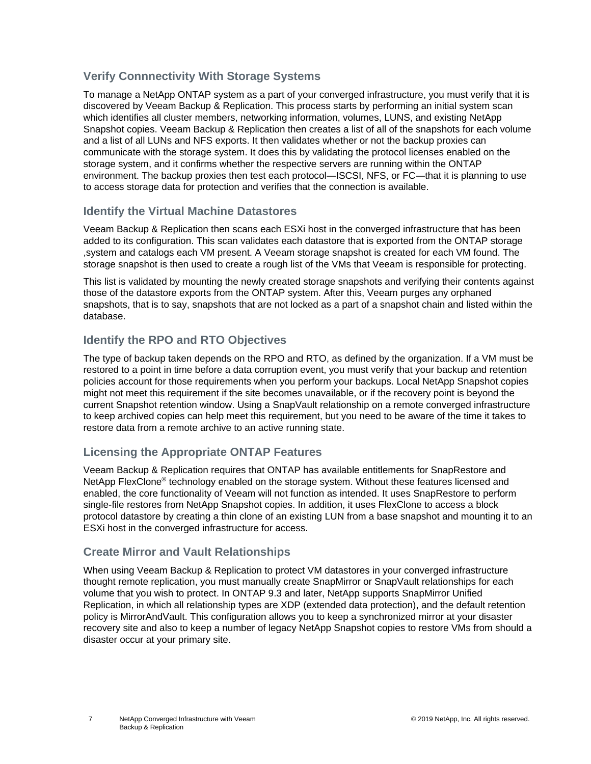### **Verify Connnectivity With Storage Systems**

To manage a NetApp ONTAP system as a part of your converged infrastructure, you must verify that it is discovered by Veeam Backup & Replication. This process starts by performing an initial system scan which identifies all cluster members, networking information, volumes, LUNS, and existing NetApp Snapshot copies. Veeam Backup & Replication then creates a list of all of the snapshots for each volume and a list of all LUNs and NFS exports. It then validates whether or not the backup proxies can communicate with the storage system. It does this by validating the protocol licenses enabled on the storage system, and it confirms whether the respective servers are running within the ONTAP environment. The backup proxies then test each protocol—ISCSI, NFS, or FC—that it is planning to use to access storage data for protection and verifies that the connection is available.

### **Identify the Virtual Machine Datastores**

Veeam Backup & Replication then scans each ESXi host in the converged infrastructure that has been added to its configuration. This scan validates each datastore that is exported from the ONTAP storage ,system and catalogs each VM present. A Veeam storage snapshot is created for each VM found. The storage snapshot is then used to create a rough list of the VMs that Veeam is responsible for protecting.

This list is validated by mounting the newly created storage snapshots and verifying their contents against those of the datastore exports from the ONTAP system. After this, Veeam purges any orphaned snapshots, that is to say, snapshots that are not locked as a part of a snapshot chain and listed within the database.

### **Identify the RPO and RTO Objectives**

The type of backup taken depends on the RPO and RTO, as defined by the organization. If a VM must be restored to a point in time before a data corruption event, you must verify that your backup and retention policies account for those requirements when you perform your backups. Local NetApp Snapshot copies might not meet this requirement if the site becomes unavailable, or if the recovery point is beyond the current Snapshot retention window. Using a SnapVault relationship on a remote converged infrastructure to keep archived copies can help meet this requirement, but you need to be aware of the time it takes to restore data from a remote archive to an active running state.

### **Licensing the Appropriate ONTAP Features**

Veeam Backup & Replication requires that ONTAP has available entitlements for SnapRestore and NetApp FlexClone® technology enabled on the storage system. Without these features licensed and enabled, the core functionality of Veeam will not function as intended. It uses SnapRestore to perform single-file restores from NetApp Snapshot copies. In addition, it uses FlexClone to access a block protocol datastore by creating a thin clone of an existing LUN from a base snapshot and mounting it to an ESXi host in the converged infrastructure for access.

### **Create Mirror and Vault Relationships**

When using Veeam Backup & Replication to protect VM datastores in your converged infrastructure thought remote replication, you must manually create SnapMirror or SnapVault relationships for each volume that you wish to protect. In ONTAP 9.3 and later, NetApp supports SnapMirror Unified Replication, in which all relationship types are XDP (extended data protection), and the default retention policy is MirrorAndVault. This configuration allows you to keep a synchronized mirror at your disaster recovery site and also to keep a number of legacy NetApp Snapshot copies to restore VMs from should a disaster occur at your primary site.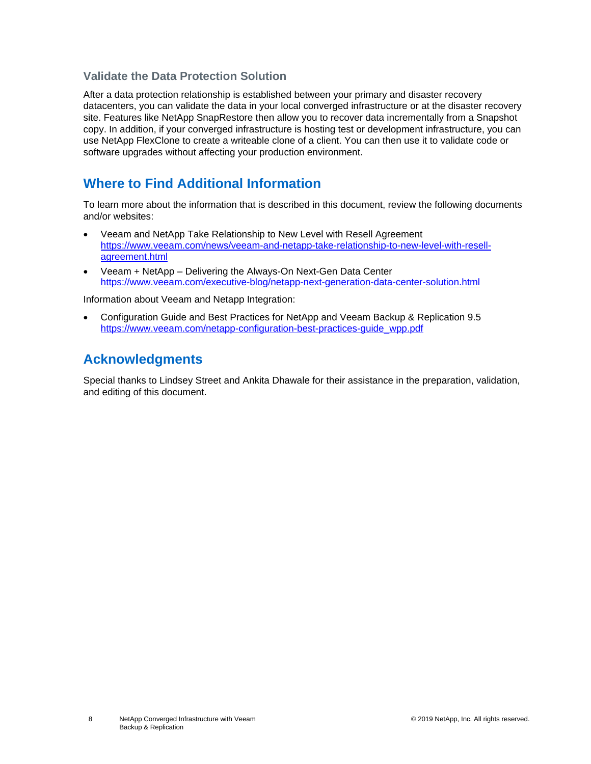#### **Validate the Data Protection Solution**

After a data protection relationship is established between your primary and disaster recovery datacenters, you can validate the data in your local converged infrastructure or at the disaster recovery site. Features like NetApp SnapRestore then allow you to recover data incrementally from a Snapshot copy. In addition, if your converged infrastructure is hosting test or development infrastructure, you can use NetApp FlexClone to create a writeable clone of a client. You can then use it to validate code or software upgrades without affecting your production environment.

## <span id="page-7-0"></span>**Where to Find Additional Information**

To learn more about the information that is described in this document, review the following documents and/or websites:

- Veeam and NetApp Take Relationship to New Level with Resell Agreement [https://www.veeam.com/news/veeam-and-netapp-take-relationship-to-new-level-with-resell](https://www.veeam.com/news/veeam-and-netapp-take-relationship-to-new-level-with-resell-agreement.html)[agreement.html](https://www.veeam.com/news/veeam-and-netapp-take-relationship-to-new-level-with-resell-agreement.html)
- Veeam + NetApp Delivering the Always-On Next-Gen Data Center <https://www.veeam.com/executive-blog/netapp-next-generation-data-center-solution.html>

Information about Veeam and Netapp Integration:

• Configuration Guide and Best Practices for NetApp and Veeam Backup & Replication 9.5 [https://www.veeam.com/netapp-configuration-best-practices-guide\\_wpp.pdf](https://www.veeam.com/netapp-configuration-best-practices-guide_wpp.pdf)

### <span id="page-7-1"></span>**Acknowledgments**

Special thanks to Lindsey Street and Ankita Dhawale for their assistance in the preparation, validation, and editing of this document.